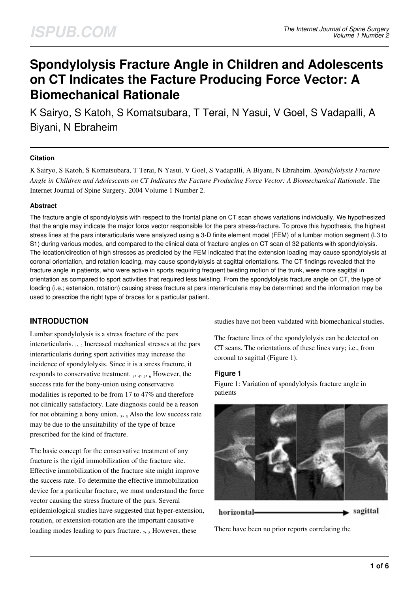# **Spondylolysis Fracture Angle in Children and Adolescents on CT Indicates the Facture Producing Force Vector: A Biomechanical Rationale**

K Sairyo, S Katoh, S Komatsubara, T Terai, N Yasui, V Goel, S Vadapalli, A Biyani, N Ebraheim

#### **Citation**

K Sairyo, S Katoh, S Komatsubara, T Terai, N Yasui, V Goel, S Vadapalli, A Biyani, N Ebraheim. *Spondylolysis Fracture Angle in Children and Adolescents on CT Indicates the Facture Producing Force Vector: A Biomechanical Rationale*. The Internet Journal of Spine Surgery. 2004 Volume 1 Number 2.

#### **Abstract**

The fracture angle of spondylolysis with respect to the frontal plane on CT scan shows variations individually. We hypothesized that the angle may indicate the major force vector responsible for the pars stress-fracture. To prove this hypothesis, the highest stress lines at the pars interarticularis were analyzed using a 3-D finite element model (FEM) of a lumbar motion segment (L3 to S1) during various modes, and compared to the clinical data of fracture angles on CT scan of 32 patients with spondylolysis. The location/direction of high stresses as predicted by the FEM indicated that the extension loading may cause spondylolysis at coronal orientation, and rotation loading, may cause spondylolysis at sagittal orientations. The CT findings revealed that the fracture angle in patients, who were active in sports requiring frequent twisting motion of the trunk, were more sagittal in orientation as compared to sport activities that required less twisting. From the spondylolysis fracture angle on CT, the type of loading (i.e.; extension, rotation) causing stress fracture at pars interarticularis may be determined and the information may be used to prescribe the right type of braces for a particular patient.

# **INTRODUCTION**

Lumbar spondylolysis is a stress fracture of the pars interarticularis. 1, 2 Increased mechanical stresses at the pars interarticularis during sport activities may increase the incidence of spondylolysis. Since it is a stress fracture, it responds to conservative treatment.  $_3$ ,  $_4$ ,  $_5$ ,  $_6$  However, the success rate for the bony-union using conservative modalities is reported to be from 17 to 47% and therefore not clinically satisfactory. Late diagnosis could be a reason for not obtaining a bony union.  $_3$ ,  $_5$  Also the low success rate may be due to the unsuitability of the type of brace prescribed for the kind of fracture.

The basic concept for the conservative treatment of any fracture is the rigid immobilization of the fracture site. Effective immobilization of the fracture site might improve the success rate. To determine the effective immobilization device for a particular fracture, we must understand the force vector causing the stress fracture of the pars. Several epidemiological studies have suggested that hyper-extension, rotation, or extension-rotation are the important causative loading modes leading to pars fracture.  $_7$ ,  $_8$  However, these

studies have not been validated with biomechanical studies.

The fracture lines of the spondylolysis can be detected on CT scans. The orientations of these lines vary; i.e., from coronal to sagittal (Figure 1).

#### **Figure 1**

Figure 1: Variation of spondylolysis fracture angle in patients



There have been no prior reports correlating the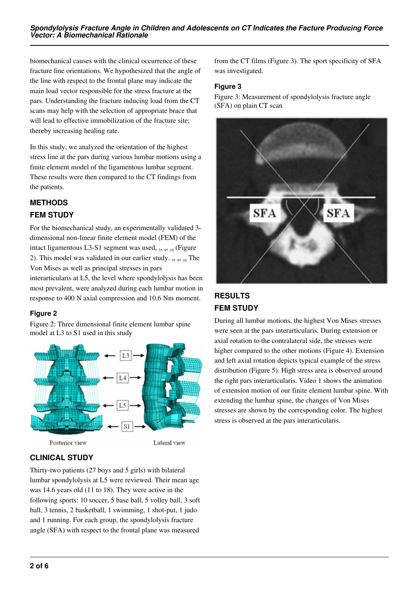biomechanical causes with the clinical occurrence of these fracture line orientations. We hypothesized that the angle of the line with respect to the frontal plane may indicate the main load vector responsible for the stress fracture at the pars. Understanding the fracture inducing load from the CT scans may help with the selection of appropriate brace that will lead to effective immobilization of the fracture site; thereby increasing healing rate.

In this study, we analyzed the orientation of the highest stress line at the pars during various lumbar motions using a finite element model of the ligamentous lumbar segment. These results were then compared to the CT findings from the patients.

# **METHODS FEM STUDY**

For the biomechanical study, an experimentally validated 3 dimensional non-linear finite element model (FEM) of the intact ligamentous L3-S1 segment was used,  $_5$ ,  $_9$ ,  $_{10}$  (Figure 2). This model was validated in our earlier study.  $_5$ ,  $_9$ ,  $_{10}$  The Von Mises as well as principal stresses in pars

interarticularis at L5, the level where spondylolysis has been most prevalent, were analyzed during each lumbar motion in response to 400 N axial compression and 10.6 Nm moment.

# **Figure 2**

Figure 2: Three dimensional finite element lumbar spine model at L3 to S1 used in this study



Posterior view

Lateral view

# **CLINICAL STUDY**

Thirty-two patients (27 boys and 5 girls) with bilateral lumbar spondylolysis at L5 were reviewed. Their mean age was 14.6 years old (11 to 18). They were active in the following sports: 10 soccer, 5 base ball, 5 volley ball, 3 soft ball, 3 tennis, 2 basketball, 1 swimming, 1 shot-put, 1 judo and 1 running. For each group, the spondylolysis fracture angle (SFA) with respect to the frontal plane was measured

from the CT films (Figure 3). The sport specificity of SFA was investigated.

### **Figure 3**

Figure 3: Measurement of spondylolysis fracture angle (SFA) on plain CT scan



# **RESULTS FEM STUDY**

During all lumbar motions, the highest Von Mises stresses were seen at the pars interarticularis. During extension or axial rotation to the contralateral side, the stresses were higher compared to the other motions (Figure 4). Extension and left axial rotation depicts typical example of the stress distribution (Figure 5). High stress area is observed around the right pars interarticularis. Video 1 shows the animation of extension motion of our finite element lumbar spine. With extending the lumbar spine, the changes of Von Mises stresses are shown by the corresponding color. The highest stress is observed at the pars interarticularis.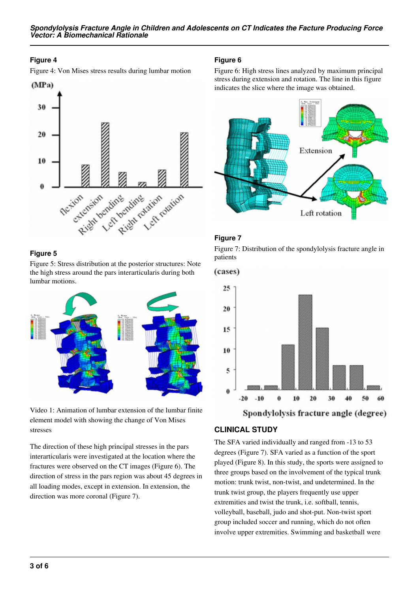## **Figure 4**

Figure 4: Von Mises stress results during lumbar motion



## **Figure 5**

Figure 5: Stress distribution at the posterior structures: Note the high stress around the pars interarticularis during both lumbar motions.



Video 1: Animation of lumbar extension of the lumbar finite element model with showing the change of Von Mises stresses

The direction of these high principal stresses in the pars interarticularis were investigated at the location where the fractures were observed on the CT images (Figure 6). The direction of stress in the pars region was about 45 degrees in all loading modes, except in extension. In extension, the direction was more coronal (Figure 7).

# **Figure 6**

Figure 6: High stress lines analyzed by maximum principal stress during extension and rotation. The line in this figure indicates the slice where the image was obtained.



# **Figure 7**

Figure 7: Distribution of the spondylolysis fracture angle in patients



# **CLINICAL STUDY**

The SFA varied individually and ranged from -13 to 53 degrees (Figure 7). SFA varied as a function of the sport played (Figure 8). In this study, the sports were assigned to three groups based on the involvement of the typical trunk motion: trunk twist, non-twist, and undetermined. In the trunk twist group, the players frequently use upper extremities and twist the trunk, i.e. softball, tennis, volleyball, baseball, judo and shot-put. Non-twist sport group included soccer and running, which do not often involve upper extremities. Swimming and basketball were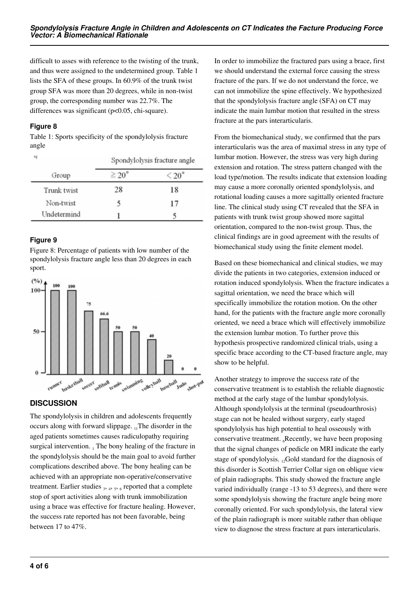difficult to asses with reference to the twisting of the trunk, and thus were assigned to the undetermined group. Table 1 lists the SFA of these groups. In 60.9% of the trunk twist group SFA was more than 20 degrees, while in non-twist group, the corresponding number was 22.7%. The differences was significant (p<0.05, chi-square).

### **Figure 8**

Table 1: Sports specificity of the spondylolysis fracture angle

| Group       | Spondylolysis fracture angle |                      |
|-------------|------------------------------|----------------------|
|             | $\geq 20^{\circ}$            | $\leq$ 20 $^{\circ}$ |
| Trunk twist | 28                           | 18                   |
| Non-twist   |                              | 17                   |
| Undetermind |                              |                      |

# **Figure 9**

Figure 8: Percentage of patients with low number of the spondylolysis fracture angle less than 20 degrees in each sport.



# **DISCUSSION**

The spondylolysis in children and adolescents frequently occurs along with forward slippage.  $_{11}$ The disorder in the aged patients sometimes causes radiculopathy requiring surgical intervention.  $_1$  The bony healing of the fracture in the spondylolysis should be the main goal to avoid further complications described above. The bony healing can be achieved with an appropriate non-operative/conservative treatment. Earlier studies  $_3$ ,  $_4$ ,  $_5$ ,  $_6$  reported that a complete stop of sport activities along with trunk immobilization using a brace was effective for fracture healing. However, the success rate reported has not been favorable, being between 17 to 47%.

In order to immobilize the fractured pars using a brace, first we should understand the external force causing the stress fracture of the pars. If we do not understand the force, we can not immobilize the spine effectively. We hypothesized that the spondylolysis fracture angle (SFA) on CT may indicate the main lumbar motion that resulted in the stress fracture at the pars interarticularis.

From the biomechanical study, we confirmed that the pars interarticularis was the area of maximal stress in any type of lumbar motion. However, the stress was very high during extension and rotation. The stress pattern changed with the load type/motion. The results indicate that extension loading may cause a more coronally oriented spondylolysis, and rotational loading causes a more sagittally oriented fracture line. The clinical study using CT revealed that the SFA in patients with trunk twist group showed more sagittal orientation, compared to the non-twist group. Thus, the clinical findings are in good agreement with the results of biomechanical study using the finite element model.

Based on these biomechanical and clinical studies, we may divide the patients in two categories, extension induced or rotation induced spondylolysis. When the fracture indicates a sagittal orientation, we need the brace which will specifically immobilize the rotation motion. On the other hand, for the patients with the fracture angle more coronally oriented, we need a brace which will effectively immobilize the extension lumbar motion. To further prove this hypothesis prospective randomized clinical trials, using a specific brace according to the CT-based fracture angle, may show to be helpful.

Another strategy to improve the success rate of the conservative treatment is to establish the reliable diagnostic method at the early stage of the lumbar spondylolysis. Although spondylolysis at the terminal (pseudoarthrosis) stage can not be healed without surgery, early staged spondylolysis has high potential to heal osseously with conservative treatment.  $_{6}$ Recently, we have been proposing that the signal changes of pedicle on MRI indicate the early stage of spondylolysis.  $_{12}$ Gold standard for the diagnosis of this disorder is Scottish Terrier Collar sign on oblique view of plain radiographs. This study showed the fracture angle varied individually (range -13 to 53 degrees), and there were some spondylolysis showing the fracture angle being more coronally oriented. For such spondylolysis, the lateral view of the plain radiograph is more suitable rather than oblique view to diagnose the stress fracture at pars interarticularis.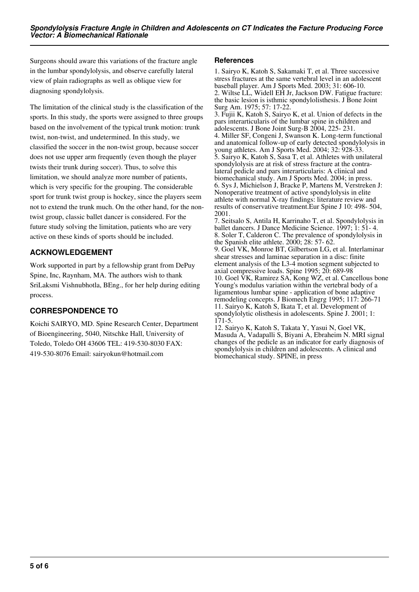Surgeons should aware this variations of the fracture angle in the lumbar spondylolysis, and observe carefully lateral view of plain radiographs as well as oblique view for diagnosing spondylolysis.

The limitation of the clinical study is the classification of the sports. In this study, the sports were assigned to three groups based on the involvement of the typical trunk motion: trunk twist, non-twist, and undetermined. In this study, we classified the soccer in the non-twist group, because soccer does not use upper arm frequently (even though the player twists their trunk during soccer). Thus, to solve this limitation, we should analyze more number of patients, which is very specific for the grouping. The considerable sport for trunk twist group is hockey, since the players seem not to extend the trunk much. On the other hand, for the nontwist group, classic ballet dancer is considered. For the future study solving the limitation, patients who are very active on these kinds of sports should be included.

# **ACKNOWLEDGEMENT**

Work supported in part by a fellowship grant from DePuy Spine, Inc, Raynham, MA. The authors wish to thank SriLaksmi Vishnubhotla, BEng., for her help during editing process.

# **CORRESPONDENCE TO**

Koichi SAIRYO, MD. Spine Research Center, Department of Bioengineering, 5040, Nitschke Hall, University of Toledo, Toledo OH 43606 TEL: 419-530-8030 FAX: 419-530-8076 Email: sairyokun@hotmail.com

#### **References**

1. Sairyo K, Katoh S, Sakamaki T, et al. Three successive stress fractures at the same vertebral level in an adolescent baseball player. Am J Sports Med. 2003; 31: 606-10. 2. Wiltse LL, Widell EH Jr, Jackson DW. Fatigue fracture: the basic lesion is isthmic spondylolisthesis. J Bone Joint Surg Am. 1975; 57: 17-22. 3. Fujii K, Katoh S, Sairyo K, et al. Union of defects in the pars interarticularis of the lumbar spine in children and adolescents. J Bone Joint Surg-B 2004, 225- 231. 4. Miller SF, Congeni J, Swanson K. Long-term functional and anatomical follow-up of early detected spondylolysis in young athletes. Am J Sports Med. 2004; 32: 928-33. 5. Sairyo K, Katoh S, Sasa T, et al. Athletes with unilateral spondylolysis are at risk of stress fracture at the contralateral pedicle and pars interarticularis: A clinical and

biomechanical study. Am J Sports Med. 2004; in press. 6. Sys J, Michielson J, Bracke P, Martens M, Verstreken J: Nonoperative treatment of active spondylolysis in elite athlete with normal X-ray findings: literature review and results of conservative treatment.Eur Spine J 10: 498- 504, 2001.

7. Seitsalo S, Antila H, Karrinaho T, et al. Spondylolysis in ballet dancers. J Dance Medicine Science. 1997; 1: 51- 4. 8. Soler T, Calderon C. The prevalence of spondylolysis in the Spanish elite athlete. 2000; 28: 57- 62.

9. Goel VK, Monroe BT, Gilbertson LG, et al. Interlaminar shear stresses and laminae separation in a disc: finite element analysis of the L3-4 motion segment subjected to axial compressive loads. Spine 1995; 20: 689-98

10. Goel VK, Ramirez SA, Kong WZ, et al. Cancellous bone Young's modulus variation within the vertebral body of a ligamentous lumbar spine - application of bone adaptive remodeling concepts. J Biomech Engrg 1995; 117: 266-71 11. Sairyo K, Katoh S, Ikata T, et al. Development of spondylolytic olisthesis in adolescents. Spine J. 2001; 1: 171-5.

12. Sairyo K, Katoh S, Takata Y, Yasui N, Goel VK, Masuda A, Vadapalli S, Biyani A, Ebraheim N. MRI signal changes of the pedicle as an indicator for early diagnosis of spondylolysis in children and adolescents. A clinical and biomechanical study. SPINE, in press